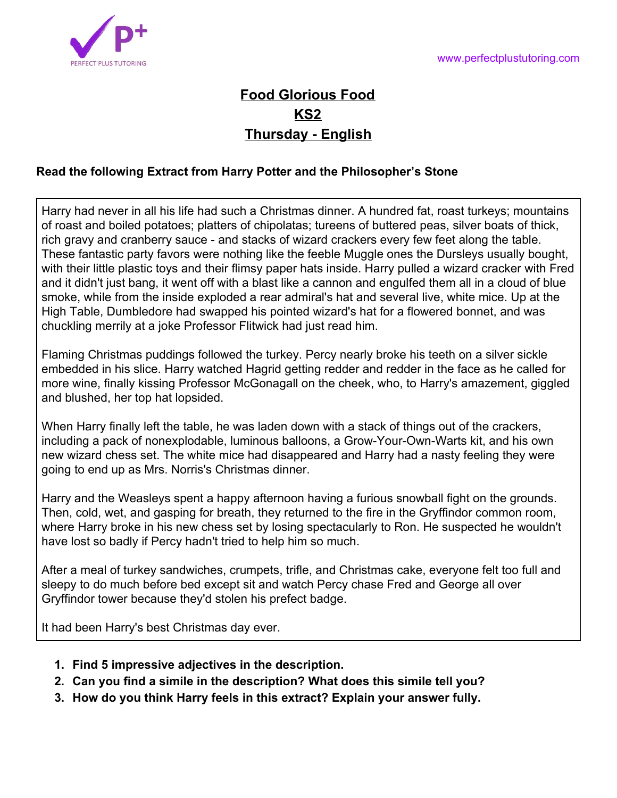

## **Food Glorious Food KS2 Thursday - English**

## **Read the following Extract from Harry Potter and the Philosopher's Stone**

Harry had never in all his life had such a Christmas dinner. A hundred fat, roast turkeys; mountains of roast and boiled potatoes; platters of chipolatas; tureens of buttered peas, silver boats of thick, rich gravy and cranberry sauce - and stacks of wizard crackers every few feet along the table. These fantastic party favors were nothing like the feeble Muggle ones the Dursleys usually bought, with their little plastic toys and their flimsy paper hats inside. Harry pulled a wizard cracker with Fred and it didn't just bang, it went off with a blast like a cannon and engulfed them all in a cloud of blue smoke, while from the inside exploded a rear admiral's hat and several live, white mice. Up at the High Table, Dumbledore had swapped his pointed wizard's hat for a flowered bonnet, and was chuckling merrily at a joke Professor Flitwick had just read him.

Flaming Christmas puddings followed the turkey. Percy nearly broke his teeth on a silver sickle embedded in his slice. Harry watched Hagrid getting redder and redder in the face as he called for more wine, finally kissing Professor McGonagall on the cheek, who, to Harry's amazement, giggled and blushed, her top hat lopsided.

When Harry finally left the table, he was laden down with a stack of things out of the crackers, including a pack of nonexplodable, luminous balloons, a Grow-Your-Own-Warts kit, and his own new wizard chess set. The white mice had disappeared and Harry had a nasty feeling they were going to end up as Mrs. Norris's Christmas dinner.

Harry and the Weasleys spent a happy afternoon having a furious snowball fight on the grounds. Then, cold, wet, and gasping for breath, they returned to the fire in the Gryffindor common room, where Harry broke in his new chess set by losing spectacularly to Ron. He suspected he wouldn't have lost so badly if Percy hadn't tried to help him so much.

After a meal of turkey sandwiches, crumpets, trifle, and Christmas cake, everyone felt too full and sleepy to do much before bed except sit and watch Percy chase Fred and George all over Gryffindor tower because they'd stolen his prefect badge.

It had been Harry's best Christmas day ever.

- **1. Find 5 impressive adjectives in the description.**
- **2. Can you find a simile in the description? What does this simile tell you?**
- **3. How do you think Harry feels in this extract? Explain your answer fully.**